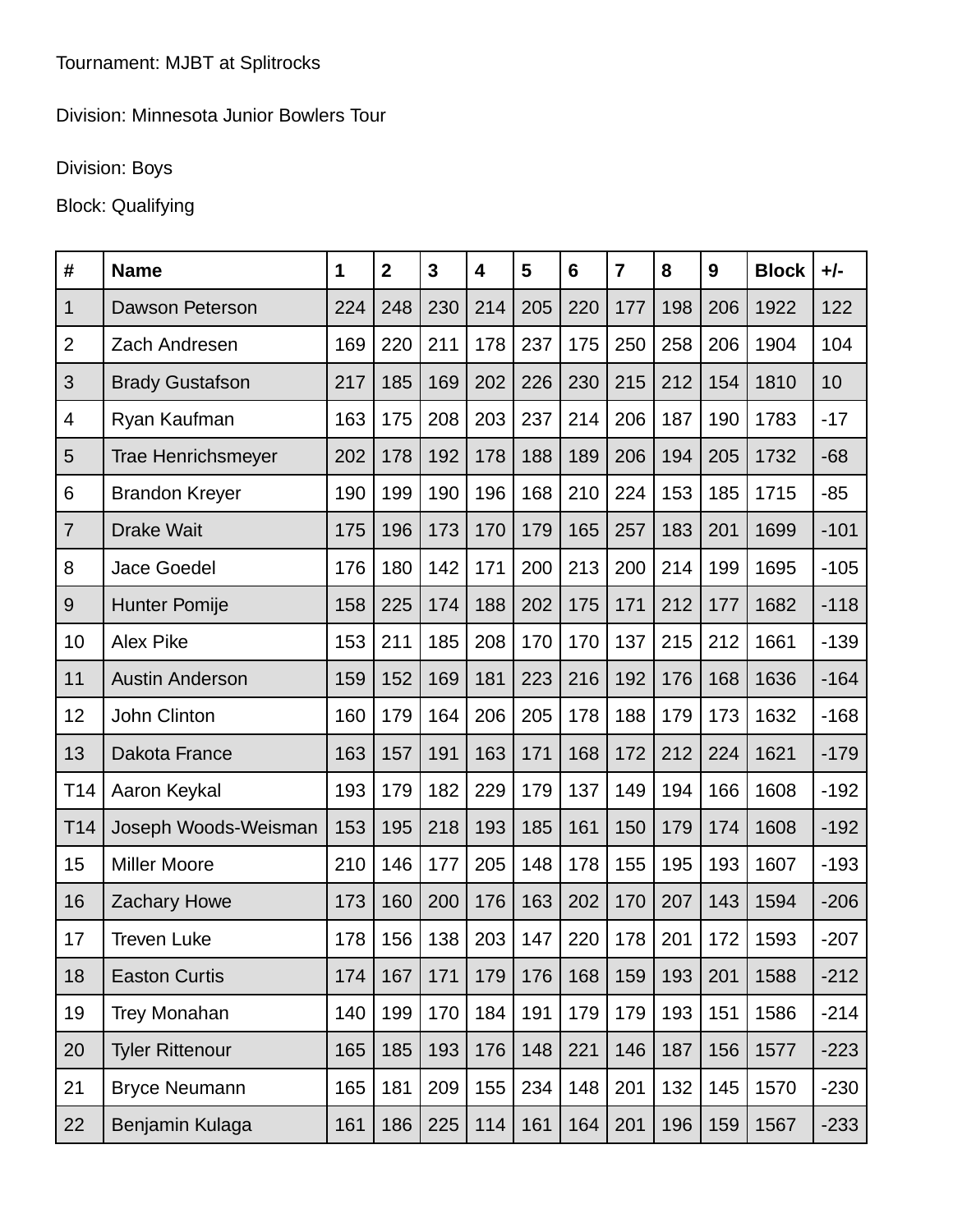## Division: Minnesota Junior Bowlers Tour

## Division: Boys

## Block: Qualifying

| #               | <b>Name</b>               | 1   | $\mathbf{2}$ | $\overline{3}$ | 4   | 5   | $6\phantom{1}$ | $\overline{7}$ | 8   | 9   | <b>Block</b> | $+/-$  |
|-----------------|---------------------------|-----|--------------|----------------|-----|-----|----------------|----------------|-----|-----|--------------|--------|
| 1               | Dawson Peterson           | 224 | 248          | 230            | 214 | 205 | 220            | 177            | 198 | 206 | 1922         | 122    |
| $\overline{2}$  | Zach Andresen             | 169 | 220          | 211            | 178 | 237 | 175            | 250            | 258 | 206 | 1904         | 104    |
| 3               | <b>Brady Gustafson</b>    | 217 | 185          | 169            | 202 | 226 | 230            | 215            | 212 | 154 | 1810         | 10     |
| 4               | Ryan Kaufman              | 163 | 175          | 208            | 203 | 237 | 214            | 206            | 187 | 190 | 1783         | $-17$  |
| 5               | <b>Trae Henrichsmeyer</b> | 202 | 178          | 192            | 178 | 188 | 189            | 206            | 194 | 205 | 1732         | $-68$  |
| 6               | <b>Brandon Kreyer</b>     | 190 | 199          | 190            | 196 | 168 | 210            | 224            | 153 | 185 | 1715         | $-85$  |
| $\overline{7}$  | <b>Drake Wait</b>         | 175 | 196          | 173            | 170 | 179 | 165            | 257            | 183 | 201 | 1699         | $-101$ |
| 8               | Jace Goedel               | 176 | 180          | 142            | 171 | 200 | 213            | 200            | 214 | 199 | 1695         | $-105$ |
| 9               | <b>Hunter Pomije</b>      | 158 | 225          | 174            | 188 | 202 | 175            | 171            | 212 | 177 | 1682         | $-118$ |
| 10              | <b>Alex Pike</b>          | 153 | 211          | 185            | 208 | 170 | 170            | 137            | 215 | 212 | 1661         | $-139$ |
| 11              | <b>Austin Anderson</b>    | 159 | 152          | 169            | 181 | 223 | 216            | 192            | 176 | 168 | 1636         | $-164$ |
| 12              | John Clinton              | 160 | 179          | 164            | 206 | 205 | 178            | 188            | 179 | 173 | 1632         | $-168$ |
| 13              | Dakota France             | 163 | 157          | 191            | 163 | 171 | 168            | 172            | 212 | 224 | 1621         | $-179$ |
| T14             | Aaron Keykal              | 193 | 179          | 182            | 229 | 179 | 137            | 149            | 194 | 166 | 1608         | $-192$ |
| T <sub>14</sub> | Joseph Woods-Weisman      | 153 | 195          | 218            | 193 | 185 | 161            | 150            | 179 | 174 | 1608         | $-192$ |
| 15              | <b>Miller Moore</b>       | 210 | 146          | 177            | 205 | 148 | 178            | 155            | 195 | 193 | 1607         | $-193$ |
| 16              | <b>Zachary Howe</b>       | 173 | 160          | 200            | 176 | 163 | 202            | 170            | 207 | 143 | 1594         | $-206$ |
| 17              | Treven Luke               | 178 | 156          | 138            | 203 | 147 | 220            | 178            | 201 | 172 | 1593         | $-207$ |
| 18              | <b>Easton Curtis</b>      | 174 | 167          | 171            | 179 | 176 | 168            | 159            | 193 | 201 | 1588         | $-212$ |
| 19              | <b>Trey Monahan</b>       | 140 | 199          | 170            | 184 | 191 | 179            | 179            | 193 | 151 | 1586         | $-214$ |
| 20              | <b>Tyler Rittenour</b>    | 165 | 185          | 193            | 176 | 148 | 221            | 146            | 187 | 156 | 1577         | $-223$ |
| 21              | <b>Bryce Neumann</b>      | 165 | 181          | 209            | 155 | 234 | 148            | 201            | 132 | 145 | 1570         | $-230$ |
| 22              | Benjamin Kulaga           | 161 | 186          | 225            | 114 | 161 | 164            | 201            | 196 | 159 | 1567         | $-233$ |